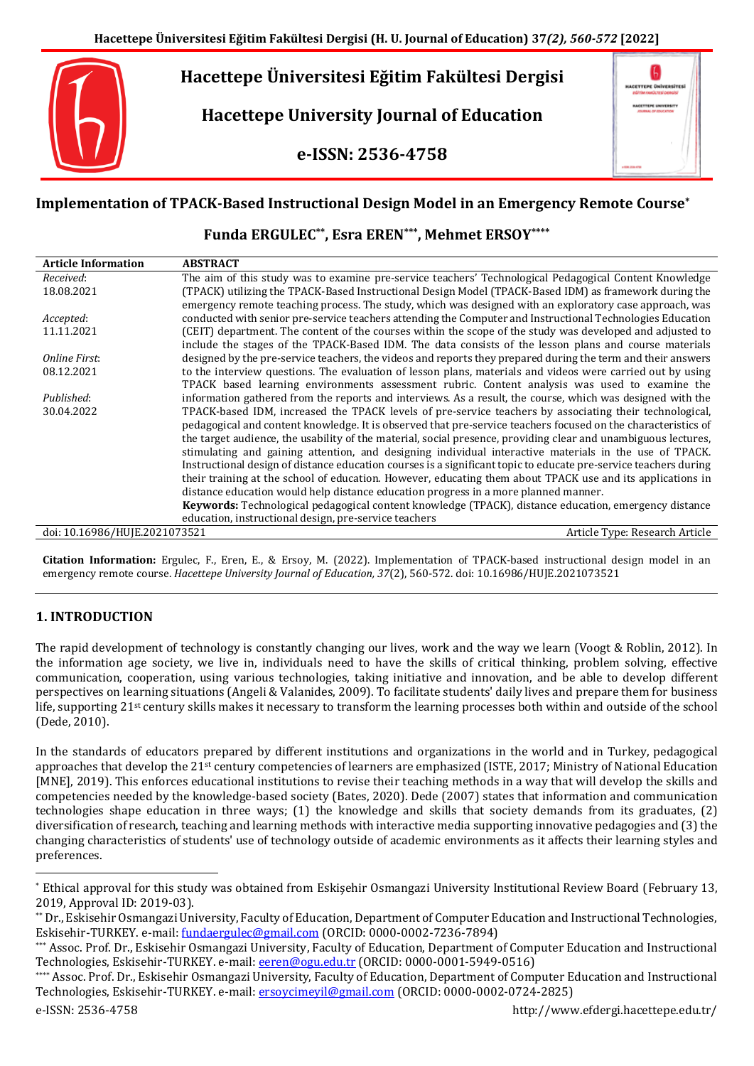# **Hacettepe Üniversitesi Eğitim Fakültesi Dergisi**

**Hacettepe University Journal of Education**

**e-ISSN: 2536-4758**

| <b>HACETTEPE ÜNIVERSITESI</b><br>TIM ANATÜLTESI DERGİSI<br>вW      |   |
|--------------------------------------------------------------------|---|
| <b>HACKTTEPE UNIVERSITY</b><br><b><i>SOURINAL OF EDUCATION</i></b> |   |
|                                                                    | ٠ |
|                                                                    |   |

## **Implementation of TPACK-Based Instructional Design Model in an Emergency Remote Course\***

**Funda ERGULEC\*\* , Esra EREN\*\*\* , Mehmet ERSOY\*\*\*\***

| <b>Article Information</b>    | <b>ABSTRACT</b>                                                                                                  |
|-------------------------------|------------------------------------------------------------------------------------------------------------------|
| Received:                     | The aim of this study was to examine pre-service teachers' Technological Pedagogical Content Knowledge           |
| 18.08.2021                    | (TPACK) utilizing the TPACK-Based Instructional Design Model (TPACK-Based IDM) as framework during the           |
|                               | emergency remote teaching process. The study, which was designed with an exploratory case approach, was          |
| Accepted:                     | conducted with senior pre-service teachers attending the Computer and Instructional Technologies Education       |
| 11.11.2021                    | (CEIT) department. The content of the courses within the scope of the study was developed and adjusted to        |
|                               | include the stages of the TPACK-Based IDM. The data consists of the lesson plans and course materials            |
| Online First:                 | designed by the pre-service teachers, the videos and reports they prepared during the term and their answers     |
| 08.12.2021                    | to the interview questions. The evaluation of lesson plans, materials and videos were carried out by using       |
|                               | TPACK based learning environments assessment rubric. Content analysis was used to examine the                    |
| Published:                    | information gathered from the reports and interviews. As a result, the course, which was designed with the       |
| 30.04.2022                    | TPACK-based IDM, increased the TPACK levels of pre-service teachers by associating their technological,          |
|                               | pedagogical and content knowledge. It is observed that pre-service teachers focused on the characteristics of    |
|                               | the target audience, the usability of the material, social presence, providing clear and unambiguous lectures,   |
|                               | stimulating and gaining attention, and designing individual interactive materials in the use of TPACK.           |
|                               | Instructional design of distance education courses is a significant topic to educate pre-service teachers during |
|                               | their training at the school of education. However, educating them about TPACK use and its applications in       |
|                               | distance education would help distance education progress in a more planned manner.                              |
|                               | Keywords: Technological pedagogical content knowledge (TPACK), distance education, emergency distance            |
|                               | education, instructional design, pre-service teachers                                                            |
| doi: 10.16986/HUJE.2021073521 | Article Type: Research Article                                                                                   |
|                               |                                                                                                                  |

**Citation Information:** Ergulec, F., Eren, E., & Ersoy, M. (2022). Implementation of TPACK-based instructional design model in an emergency remote course. *Hacettepe University Journal of Education, 37*(2), 560-572. doi: 10.16986/HUJE.2021073521

## **1. INTRODUCTION**

The rapid development of technology is constantly changing our lives, work and the way we learn (Voogt & Roblin, 2012). In the information age society, we live in, individuals need to have the skills of critical thinking, problem solving, effective communication, cooperation, using various technologies, taking initiative and innovation, and be able to develop different perspectives on learning situations (Angeli & Valanides, 2009). To facilitate students' daily lives and prepare them for business life, supporting 21st century skills makes it necessary to transform the learning processes both within and outside of the school (Dede, 2010).

In the standards of educators prepared by different institutions and organizations in the world and in Turkey, pedagogical approaches that develop the 21<sup>st</sup> century competencies of learners are emphasized (ISTE, 2017; Ministry of National Education [MNE], 2019). This enforces educational institutions to revise their teaching methods in a way that will develop the skills and competencies needed by the knowledge-based society (Bates, 2020). Dede (2007) states that information and communication technologies shape education in three ways; (1) the knowledge and skills that society demands from its graduates, (2) diversification of research, teaching and learning methods with interactive media supporting innovative pedagogies and (3) the changing characteristics of students' use of technology outside of academic environments as it affects their learning styles and preferences.

 $\overline{a}$ 

<sup>\*</sup> Ethical approval for this study was obtained from Eskişehir Osmangazi University Institutional Review Board (February 13, 2019, Approval ID: 2019-03).

<sup>\*\*</sup> Dr., Eskisehir Osmangazi University, Faculty of Education, Department of Computer Education and Instructional Technologies, Eskisehir-TURKEY. e-mail[: fundaergulec@gmail.com](mailto:fundaergulec@gmail.com) (ORCID: 0000-0002-7236-7894)

<sup>\*\*\*</sup> Assoc. Prof. Dr., Eskisehir Osmangazi University, Faculty of Education, Department of Computer Education and Instructional Technologies, Eskisehir-TURKEY. e-mail[: eeren@ogu.edu.tr](mailto:eeren@ogu.edu.tr) (ORCID: 0000-0001-5949-0516)

<sup>\*\*\*\*</sup> Assoc. Prof. Dr., Eskisehir Osmangazi University, Faculty of Education, Department of Computer Education and Instructional Technologies, Eskisehir-TURKEY. e-mail[: ersoycimeyil@gmail.com](mailto:ersoycimeyil@gmail.com) (ORCID: 0000-0002-0724-2825)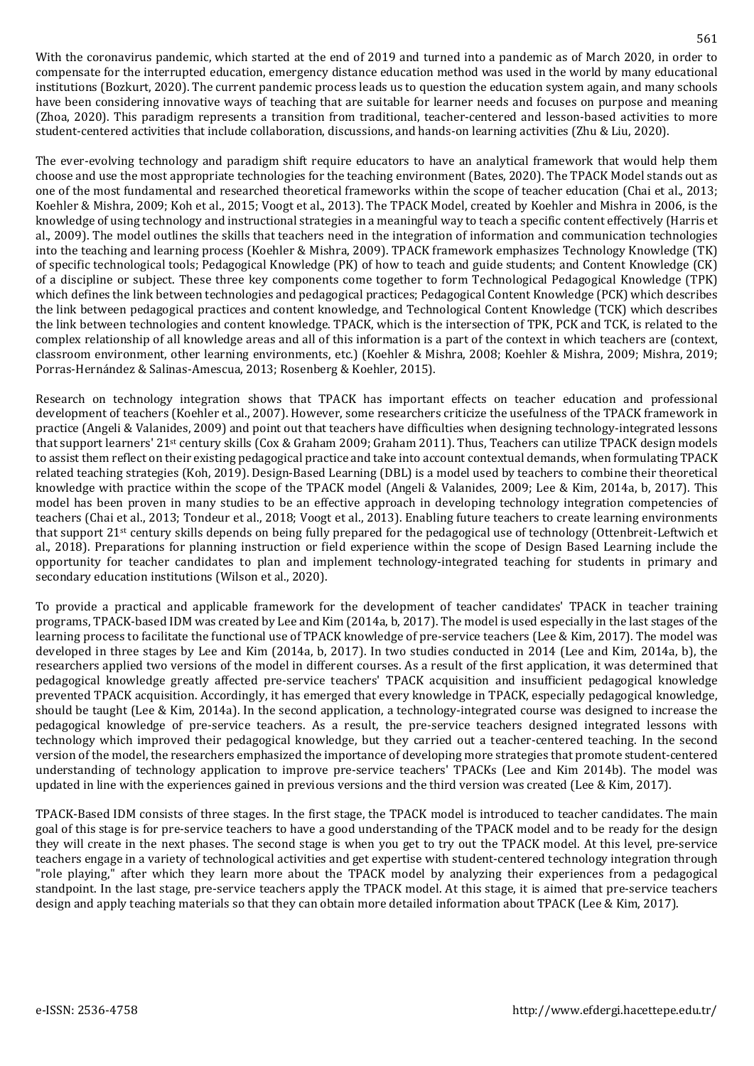With the coronavirus pandemic, which started at the end of 2019 and turned into a pandemic as of March 2020, in order to compensate for the interrupted education, emergency distance education method was used in the world by many educational institutions (Bozkurt, 2020). The current pandemic process leads us to question the education system again, and many schools have been considering innovative ways of teaching that are suitable for learner needs and focuses on purpose and meaning (Zhoa, 2020). This paradigm represents a transition from traditional, teacher-centered and lesson-based activities to more student-centered activities that include collaboration, discussions, and hands-on learning activities (Zhu & Liu, 2020).

The ever-evolving technology and paradigm shift require educators to have an analytical framework that would help them choose and use the most appropriate technologies for the teaching environment (Bates, 2020). The TPACK Model stands out as one of the most fundamental and researched theoretical frameworks within the scope of teacher education (Chai et al., 2013; Koehler & Mishra, 2009; Koh et al., 2015; Voogt et al., 2013). The TPACK Model, created by Koehler and Mishra in 2006, is the knowledge of using technology and instructional strategies in a meaningful way to teach a specific content effectively (Harris et al., 2009). The model outlines the skills that teachers need in the integration of information and communication technologies into the teaching and learning process (Koehler & Mishra, 2009). TPACK framework emphasizes Technology Knowledge (TK) of specific technological tools; Pedagogical Knowledge (PK) of how to teach and guide students; and Content Knowledge (CK) of a discipline or subject. These three key components come together to form Technological Pedagogical Knowledge (TPK) which defines the link between technologies and pedagogical practices; Pedagogical Content Knowledge (PCK) which describes the link between pedagogical practices and content knowledge, and Technological Content Knowledge (TCK) which describes the link between technologies and content knowledge. TPACK, which is the intersection of TPK, PCK and TCK, is related to the complex relationship of all knowledge areas and all of this information is a part of the context in which teachers are (context, classroom environment, other learning environments, etc.) (Koehler & Mishra, 2008; Koehler & Mishra, 2009; Mishra, 2019; Porras-Hernández & Salinas-Amescua, 2013; Rosenberg & Koehler, 2015).

Research on technology integration shows that TPACK has important effects on teacher education and professional development of teachers (Koehler et al., 2007). However, some researchers criticize the usefulness of the TPACK framework in practice (Angeli & Valanides, 2009) and point out that teachers have difficulties when designing technology-integrated lessons that support learners' 21st century skills (Cox & Graham 2009; Graham 2011). Thus, Teachers can utilize TPACK design models to assist them reflect on their existing pedagogical practice and take into account contextual demands, when formulating TPACK related teaching strategies (Koh, 2019). Design-Based Learning (DBL) is a model used by teachers to combine their theoretical knowledge with practice within the scope of the TPACK model (Angeli & Valanides, 2009; Lee & Kim, 2014a, b, 2017). This model has been proven in many studies to be an effective approach in developing technology integration competencies of teachers (Chai et al., 2013; Tondeur et al., 2018; Voogt et al., 2013). Enabling future teachers to create learning environments that support 21st century skills depends on being fully prepared for the pedagogical use of technology (Ottenbreit-Leftwich et al., 2018). Preparations for planning instruction or field experience within the scope of Design Based Learning include the opportunity for teacher candidates to plan and implement technology-integrated teaching for students in primary and secondary education institutions (Wilson et al., 2020).

To provide a practical and applicable framework for the development of teacher candidates' TPACK in teacher training programs, TPACK-based IDM was created by Lee and Kim (2014a, b, 2017). The model is used especially in the last stages of the learning process to facilitate the functional use of TPACK knowledge of pre-service teachers (Lee & Kim, 2017). The model was developed in three stages by Lee and Kim (2014a, b, 2017). In two studies conducted in 2014 (Lee and Kim, 2014a, b), the researchers applied two versions of the model in different courses. As a result of the first application, it was determined that pedagogical knowledge greatly affected pre-service teachers' TPACK acquisition and insufficient pedagogical knowledge prevented TPACK acquisition. Accordingly, it has emerged that every knowledge in TPACK, especially pedagogical knowledge, should be taught (Lee & Kim, 2014a). In the second application, a technology-integrated course was designed to increase the pedagogical knowledge of pre-service teachers. As a result, the pre-service teachers designed integrated lessons with technology which improved their pedagogical knowledge, but they carried out a teacher-centered teaching. In the second version of the model, the researchers emphasized the importance of developing more strategies that promote student-centered understanding of technology application to improve pre-service teachers' TPACKs (Lee and Kim 2014b). The model was updated in line with the experiences gained in previous versions and the third version was created (Lee & Kim, 2017).

TPACK-Based IDM consists of three stages. In the first stage, the TPACK model is introduced to teacher candidates. The main goal of this stage is for pre-service teachers to have a good understanding of the TPACK model and to be ready for the design they will create in the next phases. The second stage is when you get to try out the TPACK model. At this level, pre-service teachers engage in a variety of technological activities and get expertise with student-centered technology integration through "role playing," after which they learn more about the TPACK model by analyzing their experiences from a pedagogical standpoint. In the last stage, pre-service teachers apply the TPACK model. At this stage, it is aimed that pre-service teachers design and apply teaching materials so that they can obtain more detailed information about TPACK (Lee & Kim, 2017).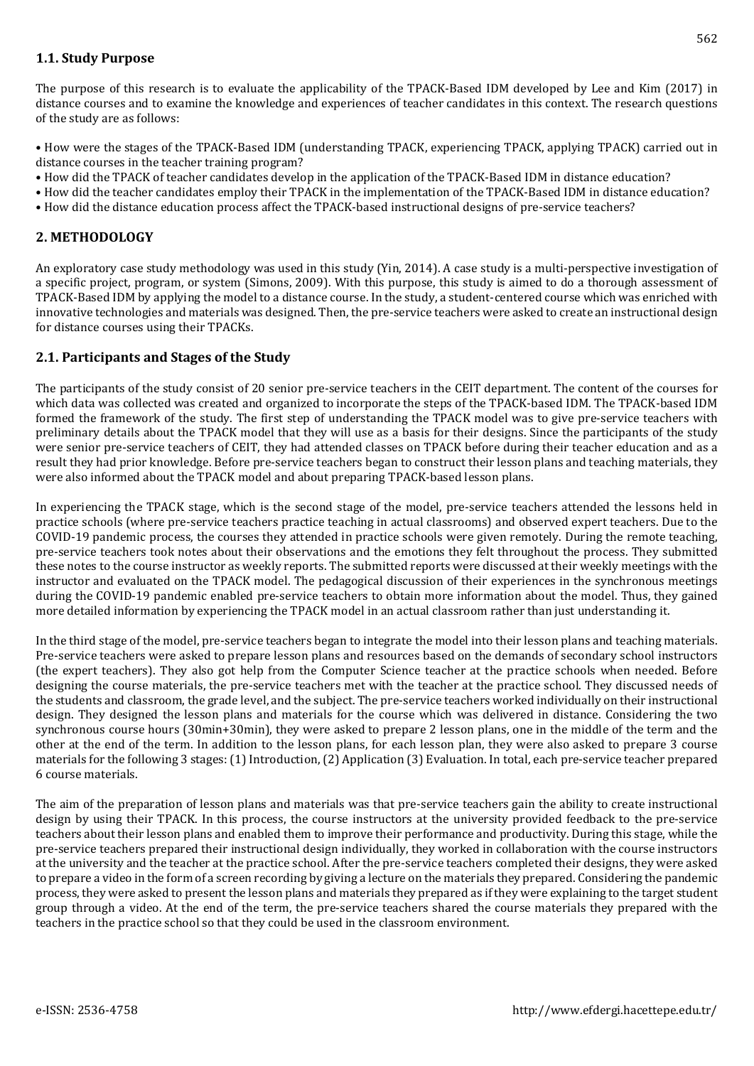## **1.1. Study Purpose**

The purpose of this research is to evaluate the applicability of the TPACK-Based IDM developed by Lee and Kim (2017) in distance courses and to examine the knowledge and experiences of teacher candidates in this context. The research questions of the study are as follows:

• How were the stages of the TPACK-Based IDM (understanding TPACK, experiencing TPACK, applying TPACK) carried out in distance courses in the teacher training program?

- How did the TPACK of teacher candidates develop in the application of the TPACK-Based IDM in distance education?
- How did the teacher candidates employ their TPACK in the implementation of the TPACK-Based IDM in distance education?
- How did the distance education process affect the TPACK-based instructional designs of pre-service teachers?

### **2. METHODOLOGY**

An exploratory case study methodology was used in this study (Yin, 2014). A case study is a multi-perspective investigation of a specific project, program, or system (Simons, 2009). With this purpose, this study is aimed to do a thorough assessment of TPACK-Based IDM by applying the model to a distance course. In the study, a student-centered course which was enriched with innovative technologies and materials was designed. Then, the pre-service teachers were asked to create an instructional design for distance courses using their TPACKs.

### **2.1. Participants and Stages of the Study**

The participants of the study consist of 20 senior pre-service teachers in the CEIT department. The content of the courses for which data was collected was created and organized to incorporate the steps of the TPACK-based IDM. The TPACK-based IDM formed the framework of the study. The first step of understanding the TPACK model was to give pre-service teachers with preliminary details about the TPACK model that they will use as a basis for their designs. Since the participants of the study were senior pre-service teachers of CEIT, they had attended classes on TPACK before during their teacher education and as a result they had prior knowledge. Before pre-service teachers began to construct their lesson plans and teaching materials, they were also informed about the TPACK model and about preparing TPACK-based lesson plans.

In experiencing the TPACK stage, which is the second stage of the model, pre-service teachers attended the lessons held in practice schools (where pre-service teachers practice teaching in actual classrooms) and observed expert teachers. Due to the COVID-19 pandemic process, the courses they attended in practice schools were given remotely. During the remote teaching, pre-service teachers took notes about their observations and the emotions they felt throughout the process. They submitted these notes to the course instructor as weekly reports. The submitted reports were discussed at their weekly meetings with the instructor and evaluated on the TPACK model. The pedagogical discussion of their experiences in the synchronous meetings during the COVID-19 pandemic enabled pre-service teachers to obtain more information about the model. Thus, they gained more detailed information by experiencing the TPACK model in an actual classroom rather than just understanding it.

In the third stage of the model, pre-service teachers began to integrate the model into their lesson plans and teaching materials. Pre-service teachers were asked to prepare lesson plans and resources based on the demands of secondary school instructors (the expert teachers). They also got help from the Computer Science teacher at the practice schools when needed. Before designing the course materials, the pre-service teachers met with the teacher at the practice school. They discussed needs of the students and classroom, the grade level, and the subject. The pre-service teachers worked individually on their instructional design. They designed the lesson plans and materials for the course which was delivered in distance. Considering the two synchronous course hours (30min+30min), they were asked to prepare 2 lesson plans, one in the middle of the term and the other at the end of the term. In addition to the lesson plans, for each lesson plan, they were also asked to prepare 3 course materials for the following 3 stages: (1) Introduction, (2) Application (3) Evaluation. In total, each pre-service teacher prepared 6 course materials.

The aim of the preparation of lesson plans and materials was that pre-service teachers gain the ability to create instructional design by using their TPACK. In this process, the course instructors at the university provided feedback to the pre-service teachers about their lesson plans and enabled them to improve their performance and productivity. During this stage, while the pre-service teachers prepared their instructional design individually, they worked in collaboration with the course instructors at the university and the teacher at the practice school. After the pre-service teachers completed their designs, they were asked to prepare a video in the form of a screen recording by giving a lecture on the materials they prepared. Considering the pandemic process, they were asked to present the lesson plans and materials they prepared as if they were explaining to the target student group through a video. At the end of the term, the pre-service teachers shared the course materials they prepared with the teachers in the practice school so that they could be used in the classroom environment.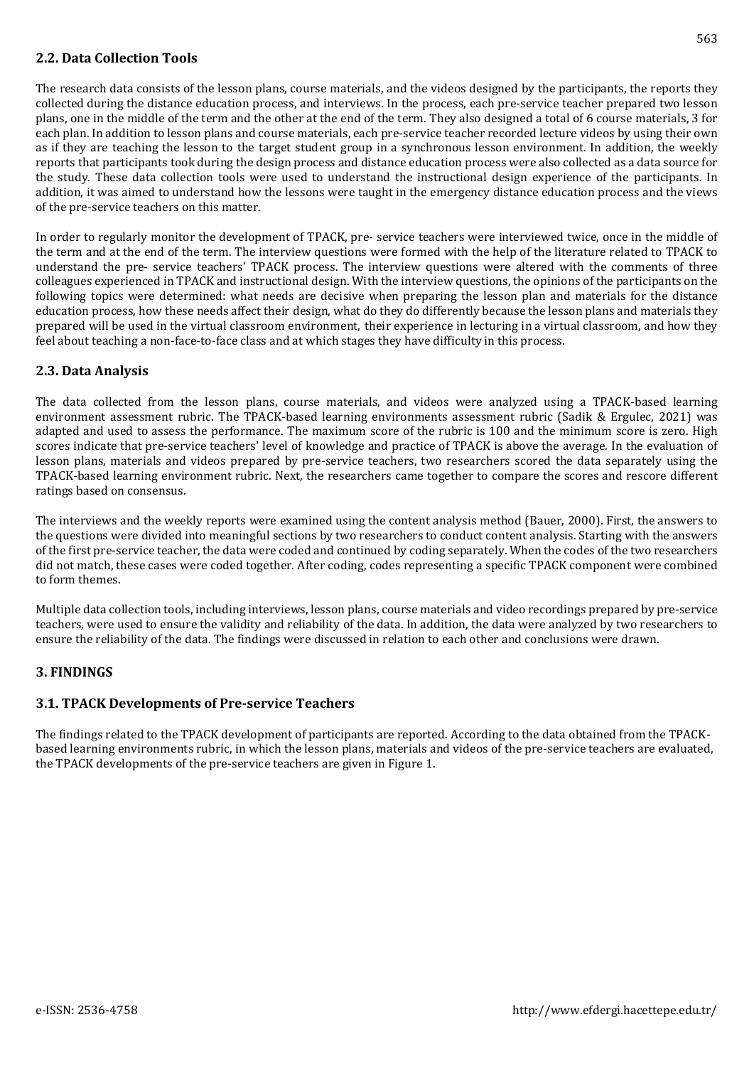## **2.2. Data Collection Tools**

The research data consists of the lesson plans, course materials, and the videos designed by the participants, the reports they collected during the distance education process, and interviews. In the process, each pre-service teacher prepared two lesson plans, one in the middle of the term and the other at the end of the term. They also designed a total of 6 course materials, 3 for each plan. In addition to lesson plans and course materials, each pre-service teacher recorded lecture videos by using their own as if they are teaching the lesson to the target student group in a synchronous lesson environment. In addition, the weekly reports that participants took during the design process and distance education process were also collected as a data source for the study. These data collection tools were used to understand the instructional design experience of the participants. In addition, it was aimed to understand how the lessons were taught in the emergency distance education process and the views of the pre-service teachers on this matter.

In order to regularly monitor the development of TPACK, pre- service teachers were interviewed twice, once in the middle of the term and at the end of the term. The interview questions were formed with the help of the literature related to TPACK to understand the pre- service teachers' TPACK process. The interview questions were altered with the comments of three colleagues experienced in TPACK and instructional design. With the interview questions, the opinions of the participants on the following topics were determined: what needs are decisive when preparing the lesson plan and materials for the distance education process, how these needs affect their design, what do they do differently because the lesson plans and materials they prepared will be used in the virtual classroom environment, their experience in lecturing in a virtual classroom, and how they feel about teaching a non-face-to-face class and at which stages they have difficulty in this process.

## **2.3. Data Analysis**

The data collected from the lesson plans, course materials, and videos were analyzed using a TPACK-based learning environment assessment rubric. The TPACK-based learning environments assessment rubric (Sadik & Ergulec, 2021) was adapted and used to assess the performance. The maximum score of the rubric is 100 and the minimum score is zero. High scores indicate that pre-service teachers' level of knowledge and practice of TPACK is above the average. In the evaluation of lesson plans, materials and videos prepared by pre-service teachers, two researchers scored the data separately using the TPACK-based learning environment rubric. Next, the researchers came together to compare the scores and rescore different ratings based on consensus.

The interviews and the weekly reports were examined using the content analysis method (Bauer, 2000). First, the answers to the questions were divided into meaningful sections by two researchers to conduct content analysis. Starting with the answers of the first pre-service teacher, the data were coded and continued by coding separately. When the codes of the two researchers did not match, these cases were coded together. After coding, codes representing a specific TPACK component were combined to form themes.

Multiple data collection tools, including interviews, lesson plans, course materials and video recordings prepared by pre-service teachers, were used to ensure the validity and reliability of the data. In addition, the data were analyzed by two researchers to ensure the reliability of the data. The findings were discussed in relation to each other and conclusions were drawn.

### **3. FINDINGS**

## **3.1. TPACK Developments of Pre-service Teachers**

The findings related to the TPACK development of participants are reported. According to the data obtained from the TPACKbased learning environments rubric, in which the lesson plans, materials and videos of the pre-service teachers are evaluated, the TPACK developments of the pre-service teachers are given in Figure 1.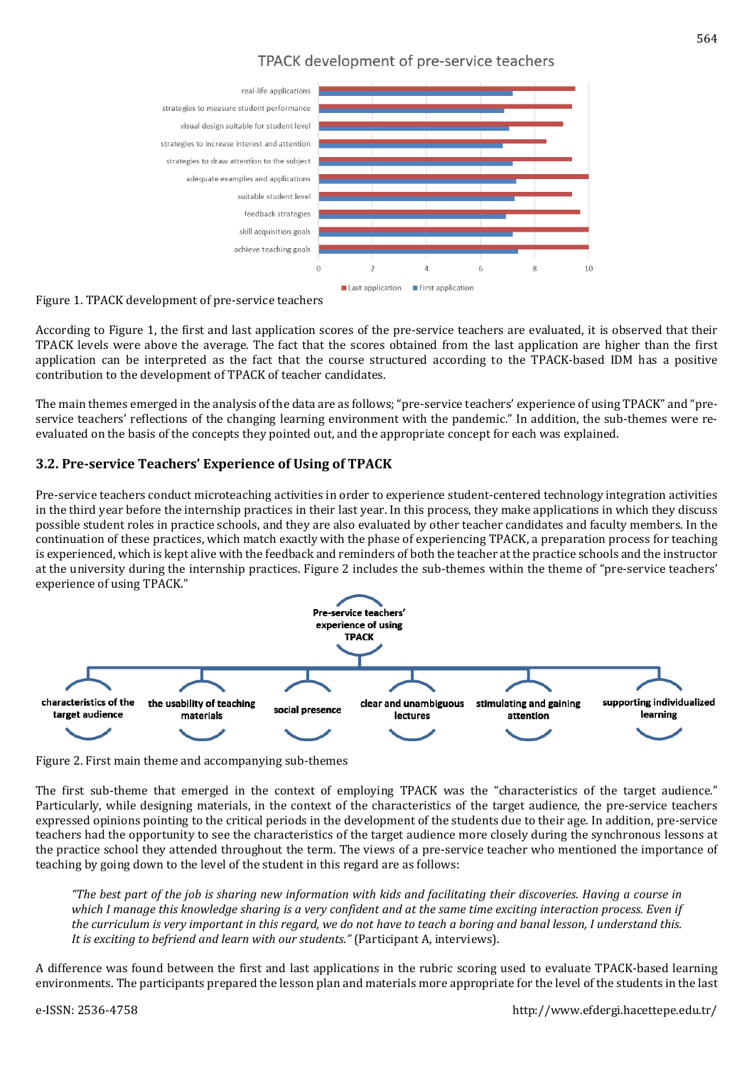## TPACK development of pre-service teachers



Figure 1. TPACK development of pre-service teachers

According to Figure 1, the first and last application scores of the pre-service teachers are evaluated, it is observed that their TPACK levels were above the average. The fact that the scores obtained from the last application are higher than the first application can be interpreted as the fact that the course structured according to the TPACK-based IDM has a positive contribution to the development of TPACK of teacher candidates.

The main themes emerged in the analysis of the data are as follows; "pre-service teachers' experience of using TPACK" and "preservice teachers' reflections of the changing learning environment with the pandemic." In addition, the sub-themes were reevaluated on the basis of the concepts they pointed out, and the appropriate concept for each was explained.

## **3.2. Pre-service Teachers' Experience of Using of TPACK**

Pre-service teachers conduct microteaching activities in order to experience student-centered technology integration activities in the third year before the internship practices in their last year. In this process, they make applications in which they discuss possible student roles in practice schools, and they are also evaluated by other teacher candidates and faculty members. In the continuation of these practices, which match exactly with the phase of experiencing TPACK, a preparation process for teaching is experienced, which is kept alive with the feedback and reminders of both the teacher at the practice schools and the instructor at the university during the internship practices. Figure 2 includes the sub-themes within the theme of "pre-service teachers' experience of using TPACK."



Figure 2. First main theme and accompanying sub-themes

The first sub-theme that emerged in the context of employing TPACK was the "characteristics of the target audience." Particularly, while designing materials, in the context of the characteristics of the target audience, the pre-service teachers expressed opinions pointing to the critical periods in the development of the students due to their age. In addition, pre-service teachers had the opportunity to see the characteristics of the target audience more closely during the synchronous lessons at the practice school they attended throughout the term. The views of a pre-service teacher who mentioned the importance of teaching by going down to the level of the student in this regard are as follows:

"The best part of the job is sharing new information with kids and facilitating their discoveries. Having a course in which I manage this knowledge sharing is a very confident and at the same time exciting interaction process. Even if the curriculum is very important in this regard, we do not have to teach a boring and banal lesson, I understand this. *It is exciting to befriend and learn with our students."* (Participant A, interviews).

A difference was found between the first and last applications in the rubric scoring used to evaluate TPACK-based learning environments. The participants prepared the lesson plan and materials more appropriate for the level of the students in the last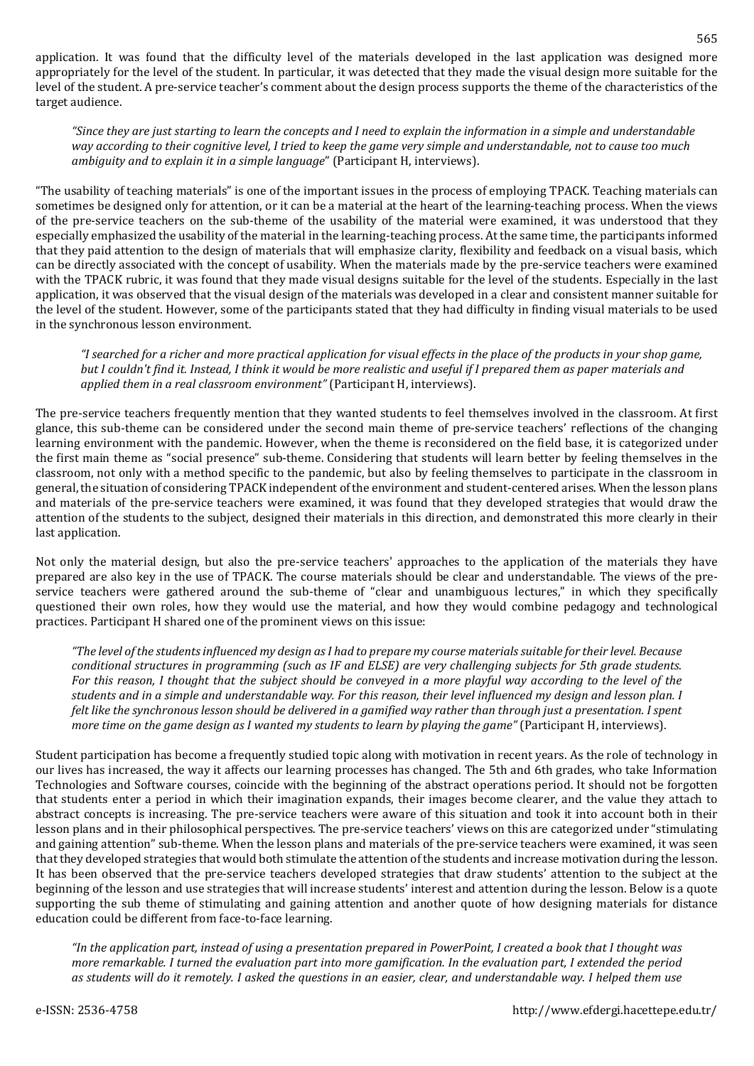application. It was found that the difficulty level of the materials developed in the last application was designed more appropriately for the level of the student. In particular, it was detected that they made the visual design more suitable for the level of the student. A pre-service teacher's comment about the design process supports the theme of the characteristics of the target audience.

"Since they are just starting to learn the concepts and I need to explain the information in a simple and understandable way according to their cognitive level, I tried to keep the game very simple and understandable, not to cause too much *ambiguity and to explain it in a simple language*" (Participant H, interviews).

"The usability of teaching materials" is one of the important issues in the process of employing TPACK. Teaching materials can sometimes be designed only for attention, or it can be a material at the heart of the learning-teaching process. When the views of the pre-service teachers on the sub-theme of the usability of the material were examined, it was understood that they especially emphasized the usability of the material in the learning-teaching process. At the same time, the participants informed that they paid attention to the design of materials that will emphasize clarity, flexibility and feedback on a visual basis, which can be directly associated with the concept of usability. When the materials made by the pre-service teachers were examined with the TPACK rubric, it was found that they made visual designs suitable for the level of the students. Especially in the last application, it was observed that the visual design of the materials was developed in a clear and consistent manner suitable for the level of the student. However, some of the participants stated that they had difficulty in finding visual materials to be used in the synchronous lesson environment.

"I searched for a richer and more practical application for visual effects in the place of the products in your shop game, but I couldn't find it. Instead, I think it would be more realistic and useful if I prepared them as paper materials and *applied them in a real classroom environment"* (Participant H, interviews).

The pre-service teachers frequently mention that they wanted students to feel themselves involved in the classroom. At first glance, this sub-theme can be considered under the second main theme of pre-service teachers' reflections of the changing learning environment with the pandemic. However, when the theme is reconsidered on the field base, it is categorized under the first main theme as "social presence" sub-theme. Considering that students will learn better by feeling themselves in the classroom, not only with a method specific to the pandemic, but also by feeling themselves to participate in the classroom in general, the situation of considering TPACK independent ofthe environment and student-centered arises. When the lesson plans and materials of the pre-service teachers were examined, it was found that they developed strategies that would draw the attention of the students to the subject, designed their materials in this direction, and demonstrated this more clearly in their last application.

Not only the material design, but also the pre-service teachers' approaches to the application of the materials they have prepared are also key in the use of TPACK. The course materials should be clear and understandable. The views of the preservice teachers were gathered around the sub-theme of "clear and unambiguous lectures," in which they specifically questioned their own roles, how they would use the material, and how they would combine pedagogy and technological practices. Participant H shared one of the prominent views on this issue:

"The level of the students influenced my design as I had to prepare my course materials suitable for their level. Because conditional structures in programming (such as IF and ELSE) are very challenging subjects for 5th grade students. For this reason, I thought that the subject should be conveyed in a more playful way according to the level of the students and in a simple and understandable way. For this reason, their level influenced my design and lesson plan. I felt like the synchronous lesson should be delivered in a gamified way rather than through just a presentation. I spent more time on the game design as I wanted my students to learn by playing the game" (Participant H, interviews).

Student participation has become a frequently studied topic along with motivation in recent years. As the role of technology in our lives has increased, the way it affects our learning processes has changed. The 5th and 6th grades, who take Information Technologies and Software courses, coincide with the beginning of the abstract operations period. It should not be forgotten that students enter a period in which their imagination expands, their images become clearer, and the value they attach to abstract concepts is increasing. The pre-service teachers were aware of this situation and took it into account both in their lesson plans and in their philosophical perspectives. The pre-service teachers' views on this are categorized under "stimulating and gaining attention" sub-theme. When the lesson plans and materials of the pre-service teachers were examined, it was seen thatthey developed strategies that would both stimulate the attention ofthe students and increase motivation during the lesson. It has been observed that the pre-service teachers developed strategies that draw students' attention to the subject at the beginning of the lesson and use strategies that will increase students' interest and attention during the lesson. Below is a quote supporting the sub theme of stimulating and gaining attention and another quote of how designing materials for distance education could be different from face-to-face learning.

"In the application part, instead of using a presentation prepared in PowerPoint, I created a book that I thought was more remarkable. I turned the evaluation part into more gamification. In the evaluation part, I extended the period as students will do it remotely. I asked the questions in an easier, clear, and understandable way. I helped them use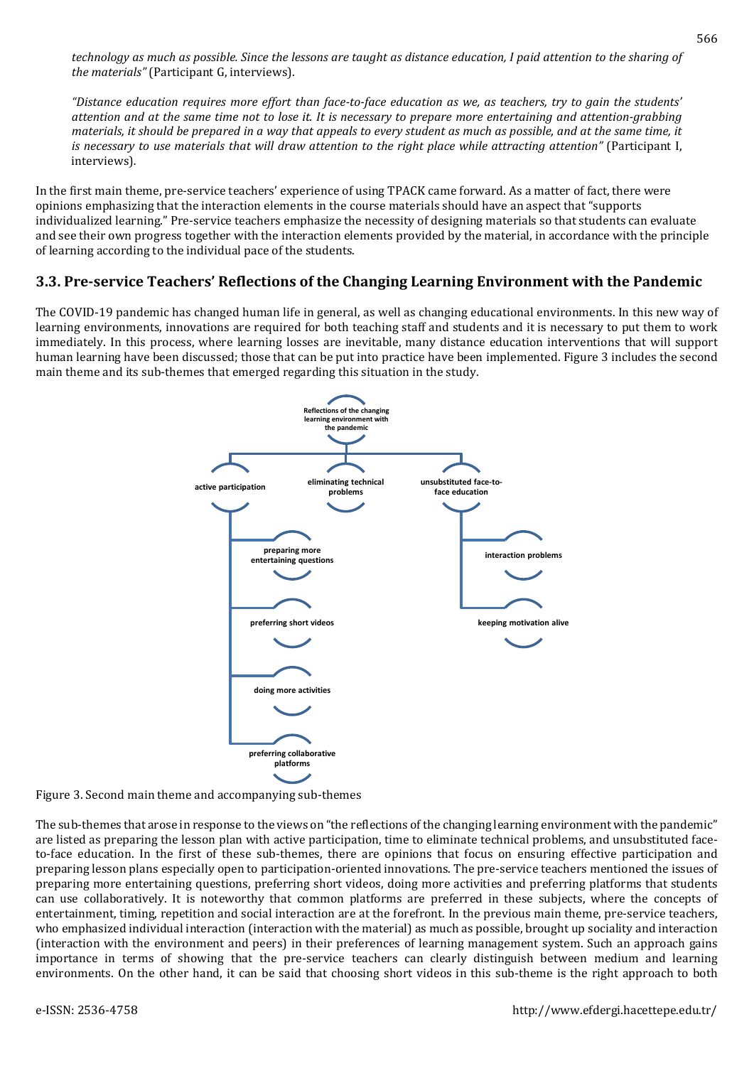technology as much as possible. Since the lessons are taught as distance education, I paid attention to the sharing of *the materials"* (Participant G, interviews).

"Distance education requires more effort than face-to-face education as we, as teachers, try to gain the students' attention and at the same time not to lose it. It is necessary to prepare more entertaining and attention-grabbing materials, it should be prepared in a way that appeals to every student as much as possible, and at the same time, it is necessary to use materials that will draw attention to the right place while attracting attention" (Participant I, interviews)*.*

In the first main theme, pre-service teachers' experience of using TPACK came forward. As a matter of fact, there were opinions emphasizing that the interaction elements in the course materials should have an aspect that "supports individualized learning." Pre-service teachers emphasize the necessity of designing materials so that students can evaluate and see their own progress together with the interaction elements provided by the material, in accordance with the principle of learning according to the individual pace of the students.

## **3.3. Pre-service Teachers' Reflections of the Changing Learning Environment with the Pandemic**

The COVID-19 pandemic has changed human life in general, as well as changing educational environments. In this new way of learning environments, innovations are required for both teaching staff and students and it is necessary to put them to work immediately. In this process, where learning losses are inevitable, many distance education interventions that will support human learning have been discussed; those that can be put into practice have been implemented. Figure 3 includes the second main theme and its sub-themes that emerged regarding this situation in the study.



Figure 3. Second main theme and accompanying sub-themes

The sub-themes that arose in response to the views on "the reflections of the changing learning environment with the pandemic" are listed as preparing the lesson plan with active participation, time to eliminate technical problems, and unsubstituted faceto-face education. In the first of these sub-themes, there are opinions that focus on ensuring effective participation and preparing lesson plans especially open to participation-oriented innovations. The pre-service teachers mentioned the issues of preparing more entertaining questions, preferring short videos, doing more activities and preferring platforms that students can use collaboratively. It is noteworthy that common platforms are preferred in these subjects, where the concepts of entertainment, timing, repetition and social interaction are at the forefront. In the previous main theme, pre-service teachers, who emphasized individual interaction (interaction with the material) as much as possible, brought up sociality and interaction (interaction with the environment and peers) in their preferences of learning management system. Such an approach gains importance in terms of showing that the pre-service teachers can clearly distinguish between medium and learning environments. On the other hand, it can be said that choosing short videos in this sub-theme is the right approach to both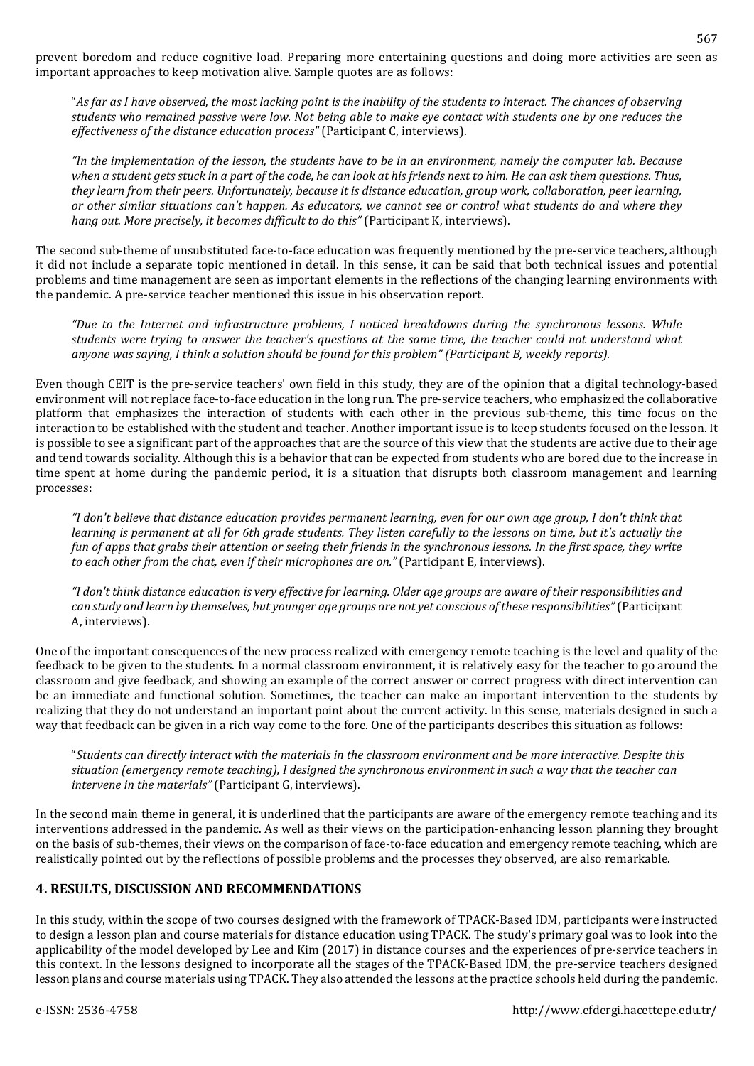prevent boredom and reduce cognitive load. Preparing more entertaining questions and doing more activities are seen as important approaches to keep motivation alive. Sample quotes are as follows:

"As far as I have observed, the most lacking point is the inability of the students to interact. The chances of observing students who remained passive were low. Not being able to make eye contact with students one by one reduces the *effectiveness of the distance education process"* (Participant C, interviews).

"In the implementation of the lesson, the students have to be in an environment, namely the computer lab. Because when a student gets stuck in a part of the code, he can look at his friends next to him. He can ask them questions. Thus, they learn from their peers. Unfortunately, because it is distance education, group work, collaboration, peer learning, or other similar situations can't happen. As educators, we cannot see or control what students do and where they *hang out. More precisely, it becomes difficult to do this"* (Participant K, interviews).

The second sub-theme of unsubstituted face-to-face education was frequently mentioned by the pre-service teachers, although it did not include a separate topic mentioned in detail. In this sense, it can be said that both technical issues and potential problems and time management are seen as important elements in the reflections of the changing learning environments with the pandemic. A pre-service teacher mentioned this issue in his observation report.

*"Due to the Internet and infrastructure problems, I noticed breakdowns during the synchronous lessons. While* students were trying to answer the teacher's questions at the same time, the teacher could not understand what *anyone was saying, I think a solution should be found for this problem" (Participant B, weekly reports).*

Even though CEIT is the pre-service teachers' own field in this study, they are of the opinion that a digital technology-based environment will not replace face-to-face education in the long run. The pre-service teachers, who emphasized the collaborative platform that emphasizes the interaction of students with each other in the previous sub-theme, this time focus on the interaction to be established with the student and teacher. Another important issue is to keep students focused on the lesson. It is possible to see a significant part of the approaches that are the source of this view that the students are active due to their age and tend towards sociality. Although this is a behavior that can be expected from students who are bored due to the increase in time spent at home during the pandemic period, it is a situation that disrupts both classroom management and learning processes:

"I don't believe that distance education provides permanent learning, even for our own age group, I don't think that learning is permanent at all for 6th grade students. They listen carefully to the lessons on time, but it's actually the fun of apps that grabs their attention or seeing their friends in the synchronous lessons. In the first space, they write *to each other from the chat, even if their microphones are on."* (Participant E, interviews).

"I don't think distance education is very effective for learning. Older age groups are aware of their responsibilities and can study and learn by themselves, but younger age groups are not yet conscious of these responsibilities" (Participant A, interviews).

One of the important consequences of the new process realized with emergency remote teaching is the level and quality of the feedback to be given to the students. In a normal classroom environment, it is relatively easy for the teacher to go around the classroom and give feedback, and showing an example of the correct answer or correct progress with direct intervention can be an immediate and functional solution. Sometimes, the teacher can make an important intervention to the students by realizing that they do not understand an important point about the current activity. In this sense, materials designed in such a way that feedback can be given in a rich way come to the fore. One of the participants describes this situation as follows:

"Students can directly interact with the materials in the classroom environment and be more interactive. Despite this situation (emergency remote teaching). I designed the synchronous environment in such a way that the teacher can *intervene in the materials"* (Participant G, interviews).

In the second main theme in general, it is underlined that the participants are aware of the emergency remote teaching and its interventions addressed in the pandemic. As well as their views on the participation-enhancing lesson planning they brought on the basis of sub-themes, their views on the comparison of face-to-face education and emergency remote teaching, which are realistically pointed out by the reflections of possible problems and the processes they observed, are also remarkable.

## **4. RESULTS, DISCUSSION AND RECOMMENDATIONS**

In this study, within the scope of two courses designed with the framework of TPACK-Based IDM, participants were instructed to design a lesson plan and course materials for distance education using TPACK. The study's primary goal was to look into the applicability of the model developed by Lee and Kim (2017) in distance courses and the experiences of pre-service teachers in this context. In the lessons designed to incorporate all the stages of the TPACK-Based IDM, the pre-service teachers designed lesson plans and course materials using TPACK. They also attended the lessons at the practice schools held during the pandemic.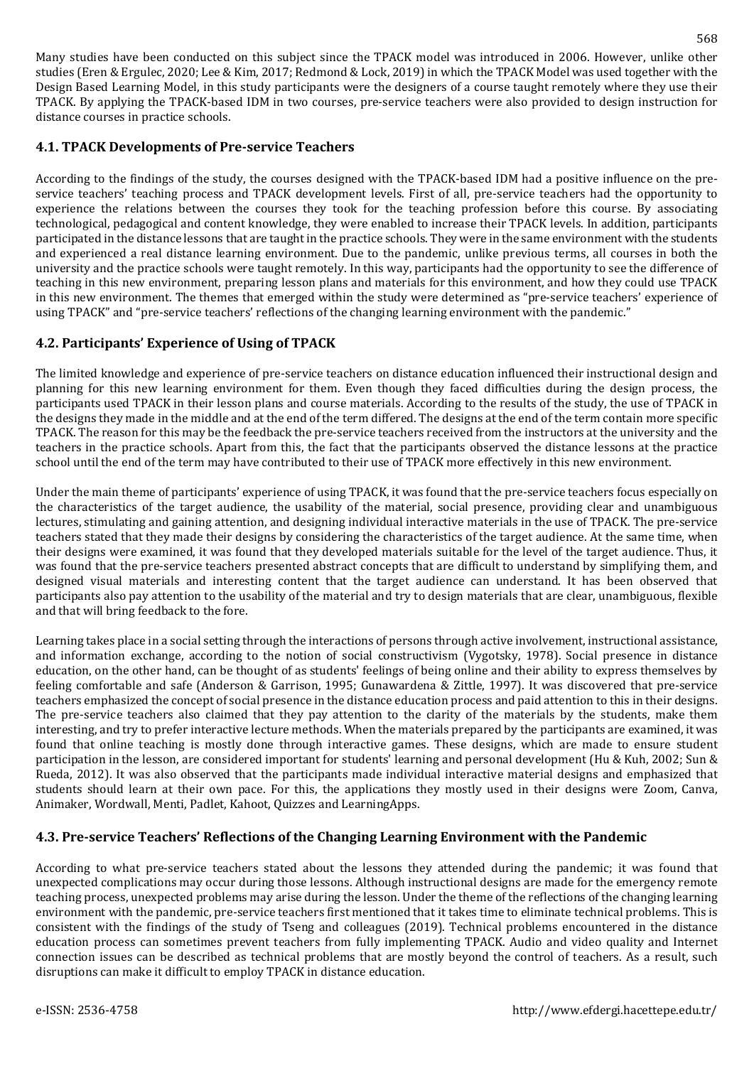Many studies have been conducted on this subject since the TPACK model was introduced in 2006. However, unlike other studies (Eren & Ergulec, 2020; Lee & Kim, 2017; Redmond & Lock, 2019) in which the TPACK Model was used together with the Design Based Learning Model, in this study participants were the designers of a course taught remotely where they use their TPACK. By applying the TPACK-based IDM in two courses, pre-service teachers were also provided to design instruction for distance courses in practice schools.

## **4.1. TPACK Developments of Pre-service Teachers**

According to the findings of the study, the courses designed with the TPACK-based IDM had a positive influence on the preservice teachers' teaching process and TPACK development levels. First of all, pre-service teachers had the opportunity to experience the relations between the courses they took for the teaching profession before this course. By associating technological, pedagogical and content knowledge, they were enabled to increase their TPACK levels. In addition, participants participated in the distance lessons that are taught in the practice schools. They were in the same environment with the students and experienced a real distance learning environment. Due to the pandemic, unlike previous terms, all courses in both the university and the practice schools were taught remotely. In this way, participants had the opportunity to see the difference of teaching in this new environment, preparing lesson plans and materials for this environment, and how they could use TPACK in this new environment. The themes that emerged within the study were determined as "pre-service teachers' experience of using TPACK" and "pre-service teachers' reflections of the changing learning environment with the pandemic."

## **4.2. Participants' Experience of Using of TPACK**

The limited knowledge and experience of pre-service teachers on distance education influenced their instructional design and planning for this new learning environment for them. Even though they faced difficulties during the design process, the participants used TPACK in their lesson plans and course materials. According to the results of the study, the use of TPACK in the designs they made in the middle and at the end of the term differed. The designs at the end of the term contain more specific TPACK. The reason for this may be the feedback the pre-service teachers received from the instructors at the university and the teachers in the practice schools. Apart from this, the fact that the participants observed the distance lessons at the practice school until the end of the term may have contributed to their use of TPACK more effectively in this new environment.

Under the main theme of participants' experience of using TPACK, it was found that the pre-service teachers focus especially on the characteristics of the target audience, the usability of the material, social presence, providing clear and unambiguous lectures, stimulating and gaining attention, and designing individual interactive materials in the use of TPACK. The pre-service teachers stated that they made their designs by considering the characteristics of the target audience. At the same time, when their designs were examined, it was found that they developed materials suitable for the level of the target audience. Thus, it was found that the pre-service teachers presented abstract concepts that are difficult to understand by simplifying them, and designed visual materials and interesting content that the target audience can understand. It has been observed that participants also pay attention to the usability of the material and try to design materials that are clear, unambiguous, flexible and that will bring feedback to the fore.

Learning takes place in a social setting through the interactions of persons through active involvement, instructional assistance, and information exchange, according to the notion of social constructivism (Vygotsky, 1978). Social presence in distance education, on the other hand, can be thought of as students' feelings of being online and their ability to express themselves by feeling comfortable and safe (Anderson & Garrison, 1995; Gunawardena & Zittle, 1997). It was discovered that pre-service teachers emphasized the concept of social presence in the distance education process and paid attention to this in their designs. The pre-service teachers also claimed that they pay attention to the clarity of the materials by the students, make them interesting, and try to prefer interactive lecture methods. When the materials prepared by the participants are examined, it was found that online teaching is mostly done through interactive games. These designs, which are made to ensure student participation in the lesson, are considered important for students' learning and personal development (Hu & Kuh, 2002; Sun & Rueda, 2012). It was also observed that the participants made individual interactive material designs and emphasized that students should learn at their own pace. For this, the applications they mostly used in their designs were Zoom, Canva, Animaker, Wordwall, Menti, Padlet, Kahoot, Quizzes and LearningApps.

## **4.3. Pre-service Teachers' Reflections of the Changing Learning Environment with the Pandemic**

According to what pre-service teachers stated about the lessons they attended during the pandemic; it was found that unexpected complications may occur during those lessons. Although instructional designs are made for the emergency remote teaching process, unexpected problems may arise during the lesson. Under the theme of the reflections of the changing learning environment with the pandemic, pre-service teachers first mentioned that it takes time to eliminate technical problems. This is consistent with the findings of the study of Tseng and colleagues (2019). Technical problems encountered in the distance education process can sometimes prevent teachers from fully implementing TPACK. Audio and video quality and Internet connection issues can be described as technical problems that are mostly beyond the control of teachers. As a result, such disruptions can make it difficult to employ TPACK in distance education.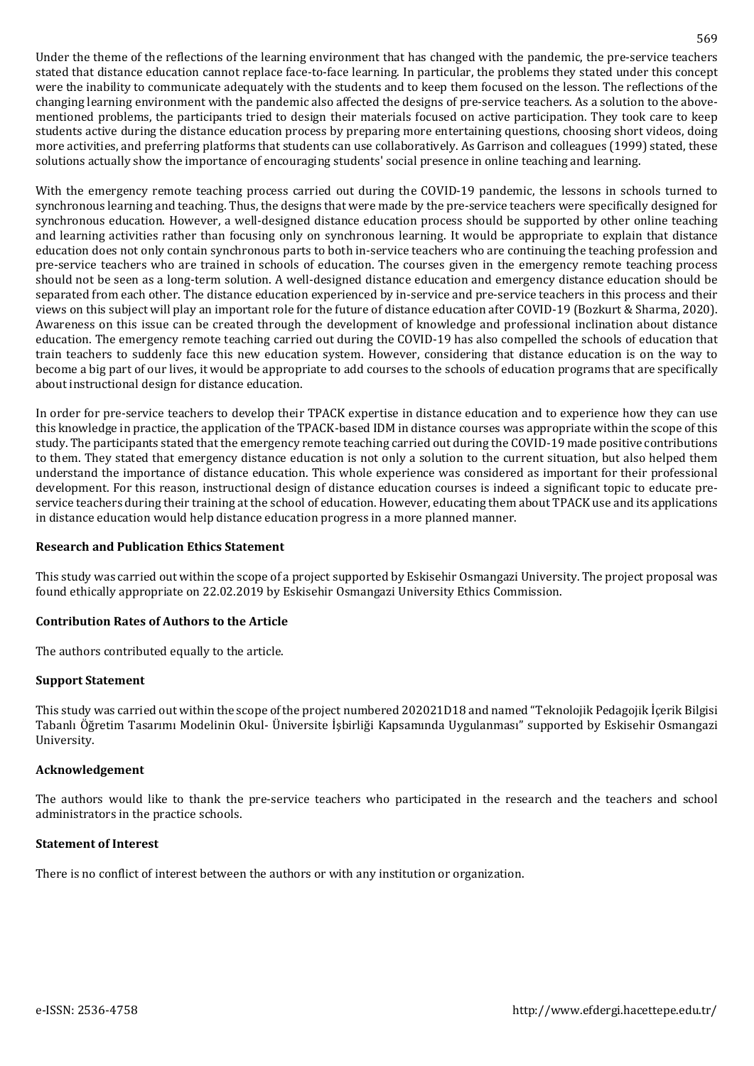Under the theme of the reflections of the learning environment that has changed with the pandemic, the pre-service teachers stated that distance education cannot replace face-to-face learning. In particular, the problems they stated under this concept were the inability to communicate adequately with the students and to keep them focused on the lesson. The reflections of the changing learning environment with the pandemic also affected the designs of pre-service teachers. As a solution to the abovementioned problems, the participants tried to design their materials focused on active participation. They took care to keep students active during the distance education process by preparing more entertaining questions, choosing short videos, doing more activities, and preferring platforms that students can use collaboratively. As Garrison and colleagues (1999) stated, these solutions actually show the importance of encouraging students' social presence in online teaching and learning.

With the emergency remote teaching process carried out during the COVID-19 pandemic, the lessons in schools turned to synchronous learning and teaching. Thus, the designs that were made by the pre-service teachers were specifically designed for synchronous education. However, a well-designed distance education process should be supported by other online teaching and learning activities rather than focusing only on synchronous learning. It would be appropriate to explain that distance education does not only contain synchronous parts to both in-service teachers who are continuing the teaching profession and pre-service teachers who are trained in schools of education. The courses given in the emergency remote teaching process should not be seen as a long-term solution. A well-designed distance education and emergency distance education should be separated from each other. The distance education experienced by in-service and pre-service teachers in this process and their views on this subject will play an important role for the future of distance education after COVID-19 (Bozkurt & Sharma, 2020). Awareness on this issue can be created through the development of knowledge and professional inclination about distance education. The emergency remote teaching carried out during the COVID-19 has also compelled the schools of education that train teachers to suddenly face this new education system. However, considering that distance education is on the way to become a big part of our lives, it would be appropriate to add courses to the schools of education programs that are specifically about instructional design for distance education.

In order for pre-service teachers to develop their TPACK expertise in distance education and to experience how they can use this knowledge in practice, the application of the TPACK-based IDM in distance courses was appropriate within the scope of this study. The participants stated that the emergency remote teaching carried out during the COVID-19 made positive contributions to them. They stated that emergency distance education is not only a solution to the current situation, but also helped them understand the importance of distance education. This whole experience was considered as important for their professional development. For this reason, instructional design of distance education courses is indeed a significant topic to educate preservice teachers during their training at the school of education. However, educating them about TPACK use and its applications in distance education would help distance education progress in a more planned manner.

#### **Research and Publication Ethics Statement**

This study was carried out within the scope of a project supported by Eskisehir Osmangazi University. The project proposal was found ethically appropriate on 22.02.2019 by Eskisehir Osmangazi University Ethics Commission.

#### **Contribution Rates of Authors to the Article**

The authors contributed equally to the article.

#### **Support Statement**

This study was carried out within the scope of the project numbered 202021D18 and named "Teknolojik Pedagojik İçerik Bilgisi Tabanlı Öğretim Tasarımı Modelinin Okul- Üniversite İşbirliği Kapsamında Uygulanması" supported by Eskisehir Osmangazi University.

#### **Acknowledgement**

The authors would like to thank the pre-service teachers who participated in the research and the teachers and school administrators in the practice schools.

#### **Statement of Interest**

There is no conflict of interest between the authors or with any institution or organization.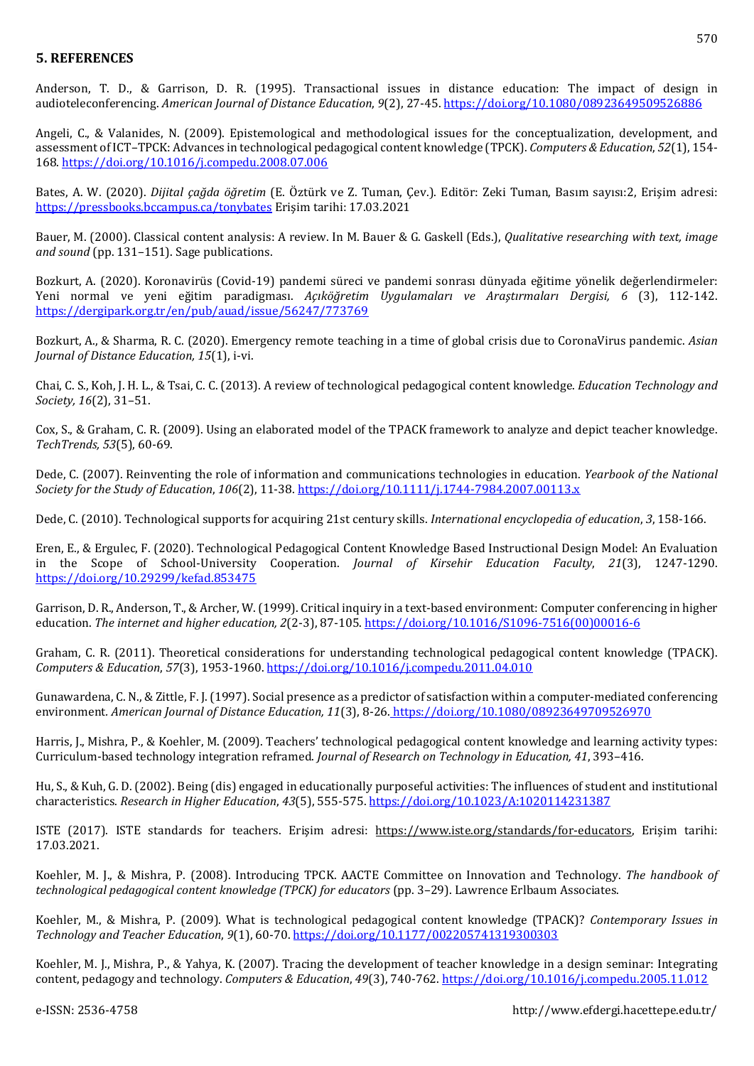### **5. REFERENCES**

Anderson, T. D., & Garrison, D. R. (1995). Transactional issues in distance education: The impact of design in audioteleconferencing. *American Journal of Distance Education*, *9*(2), 27-45. <https://doi.org/10.1080/08923649509526886>

Angeli, C., & Valanides, N. (2009). Epistemological and methodological issues for the conceptualization, development, and assessment of ICT–TPCK: Advances in technological pedagogical content knowledge (TPCK). *Computers & Education*, *52*(1), 154- 168. <https://doi.org/10.1016/j.compedu.2008.07.006>

Bates, A. W. (2020). *Dijital çağda öğretim* (E. Öztürk ve Z. Tuman, Çev.). Editör: Zeki Tuman, Basım sayısı:2, Erişim adresi[:](https://pressbooks.bccampus.ca/tonybates) <https://pressbooks.bccampus.ca/tonybates> Erişim tarihi: 17.03.2021

Bauer, M. (2000). Classical content analysis: A review. In M. Bauer & G. Gaskell (Eds.), *Qualitative researching with text, image and sound* (pp. 131–151). Sage publications.

Bozkurt, A. (2020). Koronavirüs (Covid-19) pandemi süreci ve pandemi sonrası dünyada eğitime yönelik değerlendirmeler: Yeni normal ve yeni eğitim paradigması. *Açıköğretim Uygulamaları ve Araştırmaları Dergisi, 6* (3), 112-142. <https://dergipark.org.tr/en/pub/auad/issue/56247/773769>

Bozkurt, A., & Sharma, R. C. (2020). Emergency remote teaching in a time of global crisis due to CoronaVirus pandemic. *Asian Journal of Distance Education, 15*(1), i-vi.

Chai, C. S., Koh, J. H. L., & Tsai, C. C. (2013). A review of technological pedagogical content knowledge. *Education Technology and Society, 16*(2), 31–51.

Cox, S., & Graham, C. R. (2009). Using an elaborated model of the TPACK framework to analyze and depict teacher knowledge. *TechTrends, 53*(5), 60-69.

Dede, C. (2007). Reinventing the role of information and communications technologies in education. *Yearbook of the National Society for the Study of Education*, *106*(2), 11-38. <https://doi.org/10.1111/j.1744-7984.2007.00113.x>

Dede, C. (2010). Technological supports for acquiring 21st century skills. *International encyclopedia of education*, *3*, 158-166.

Eren, E., & Ergulec, F. (2020). Technological Pedagogical Content Knowledge Based Instructional Design Model: An Evaluation in the Scope of School-University Cooperation. *Journal of Kirsehir Education Faculty*, *21*(3), 1247-1290. <https://doi.org/10.29299/kefad.853475>

Garrison, D. R., Anderson, T., & Archer, W.(1999). Critical inquiry in a text-based environment: Computer conferencing in higher education. *The internet and higher education, 2*(2-3), 87-105. [https://doi.org/10.1016/S1096-7516\(00\)00016-6](https://doi.org/10.1016/S1096-7516(00)00016-6)

Graham, C. R. (2011). Theoretical considerations for understanding technological pedagogical content knowledge (TPACK). *Computers & Education*, *57*(3), 1953-1960. <https://doi.org/10.1016/j.compedu.2011.04.010>

Gunawardena, C. N., & Zittle, F. J. (1997). Social presence as a predictor of satisfaction within a computer‐mediated conferencing environment*. American Journal of Distance Education, 11*(3), 8-26. <https://doi.org/10.1080/08923649709526970>

Harris, J., Mishra, P., & Koehler, M. (2009). Teachers' technological pedagogical content knowledge and learning activity types: Curriculum-based technology integration reframed. *Journal of Research on Technology in Education, 41*, 393–416.

Hu, S., & Kuh, G. D. (2002). Being (dis) engaged in educationally purposeful activities: The influences of student and institutional characteristics. *Research in Higher Education*, *43*(5), 555-575. <https://doi.org/10.1023/A:1020114231387>

ISTE (2017). ISTE standards for teachers. Erişim adresi: [https://www.iste.org/standards/for-educators,](https://www.iste.org/standards/for-educators) Erişim tarihi: 17.03.2021.

Koehler, M. J., & Mishra, P. (2008). Introducing TPCK. AACTE Committee on Innovation and Technology. *The handbook of technological pedagogical content knowledge (TPCK) for educators* (pp. 3–29). Lawrence Erlbaum Associates.

Koehler, M., & Mishra, P. (2009). What is technological pedagogical content knowledge (TPACK)? *Contemporary Issues in Technology and Teacher Education*, *9*(1), 60-70. [https://doi.org/10.1177/002205741319300303](https://doi.org/10.1177%2F002205741319300303)

Koehler, M. J., Mishra, P., & Yahya, K. (2007). Tracing the development of teacher knowledge in a design seminar: Integrating content, pedagogy and technology. *Computers & Education*, *49*(3), 740-762. <https://doi.org/10.1016/j.compedu.2005.11.012>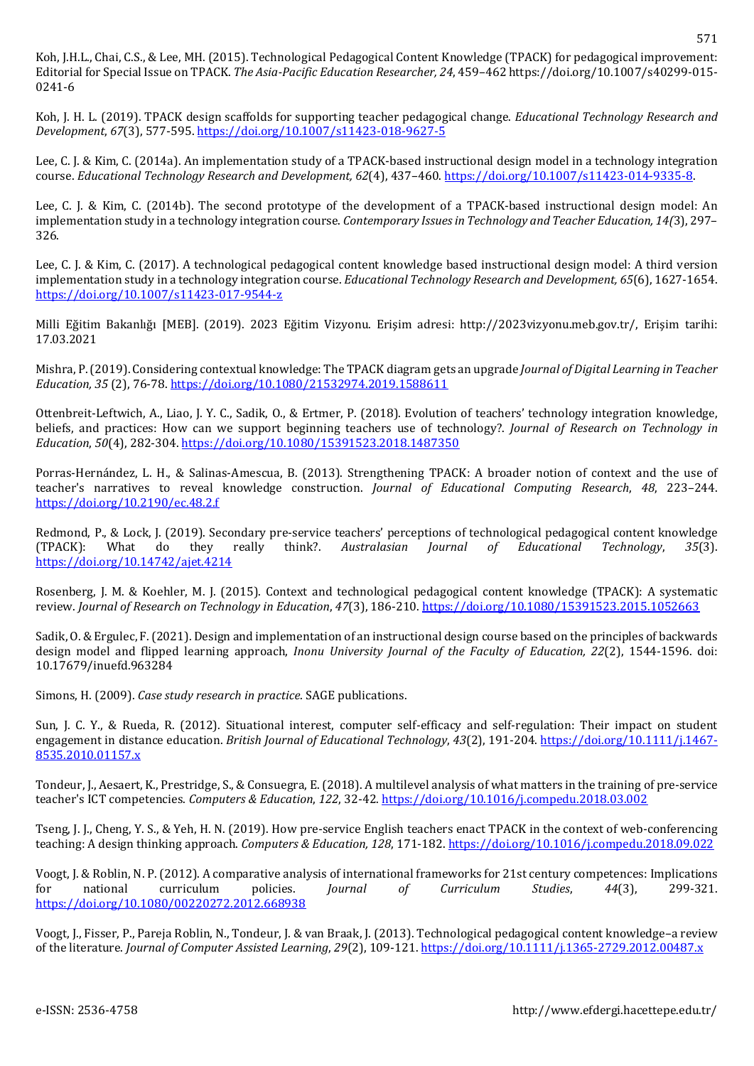Koh, J.H.L., Chai, C.S., & Lee, MH. (2015). Technological Pedagogical Content Knowledge (TPACK) for pedagogical improvement: Editorial for Special Issue on TPACK. *The Asia-Pacific Education Researcher, 24*, 459–462 [https://doi.org/10.1007/s40299-015-](https://doi.org/10.1007/s40299-015-0241-6) [0241-6](https://doi.org/10.1007/s40299-015-0241-6)

Koh, J. H. L. (2019). TPACK design scaffolds for supporting teacher pedagogical change. *Educational Technology Research and Development*, *67*(3), 577-595. <https://doi.org/10.1007/s11423-018-9627-5>

Lee, C. J. & Kim, C. (2014a). An implementation study of a TPACK-based instructional design model in a technology integration course. *Educational Technology Research and Development, 62*(4), 437–460. [https://doi.org/10.1007/s11423-014-9335-8.](https://doi.org/10.1007/s11423-014-9335-8)

Lee, C. J. & Kim, C. (2014b). The second prototype of the development of a TPACK-based instructional design model: An implementation study in a technology integration course. *Contemporary Issuesin Technology and Teacher Education, 14(*3), 297– 326.

Lee, C. J. & Kim, C. (2017). A technological pedagogical content knowledge based instructional design model: A third version implementation study in a technology integration course. *Educational Technology Research and Development, 65*(6), 1627-1654. <https://doi.org/10.1007/s11423-017-9544-z>

Milli Eğitim Bakanlığı [MEB]. (2019). 2023 Eğitim Vizyonu. Erişim adresi: http://2023vizyonu.meb.gov.tr/, Erişim tarihi: 17.03.2021

Mishra, P.(2019). Considering contextual knowledge: The TPACK diagram gets an upgrade *Journal of Digital Learning in Teacher Education, 35* (2), 76-78. <https://doi.org/10.1080/21532974.2019.1588611>

Ottenbreit-Leftwich, A., Liao, J. Y. C., Sadik, O., & Ertmer, P. (2018). Evolution of teachers' technology integration knowledge, beliefs, and practices: How can we support beginning teachers use of technology?. *Journal of Research on Technology in Education*, *50*(4), 282-304. <https://doi.org/10.1080/15391523.2018.1487350>

Porras-Hernández, L. H., & Salinas-Amescua, B. (2013). Strengthening TPACK: A broader notion of context and the use of teacher's narratives to reveal knowledge construction. *Journal of Educational Computing Research*, *48*, 223–244. <https://doi.org/10.2190/ec.48.2.f>

Redmond, P., & Lock, J. (2019). Secondary pre-service teachers' perceptions of technological pedagogical content knowledge (TPACK): What do they really think?. *Australasian Journal of Educational Technology*, *35*(3). <https://doi.org/10.14742/ajet.4214>

Rosenberg, J. M. & Koehler, M. J. (2015). Context and technological pedagogical content knowledge (TPACK): A systematic review. *Journal of Research on Technology in Education*, *47*(3), 186-210. <https://doi.org/10.1080/15391523.2015.1052663>

Sadik, O. & Ergulec, F.(2021). Design and implementation of an instructional design course based on the principles of backwards design model and flipped learning approach, *Inonu University Journal of the Faculty of Education, 22*(2), 1544-1596. doi: 10.17679/inuefd.963284

Simons, H. (2009). *Case study research in practice*. SAGE publications.

Sun, J. C. Y., & Rueda, R. (2012). Situational interest, computer self-efficacy and self-regulation: Their impact on student engagement in distance education. *British Journal of Educational Technology*, *43*(2), 191-204. [https://doi.org/10.1111/j.1467-](https://doi.org/10.1111/j.1467-8535.2010.01157.x) [8535.2010.01157.x](https://doi.org/10.1111/j.1467-8535.2010.01157.x)

Tondeur, J., Aesaert, K., Prestridge, S., & Consuegra, E. (2018). A multilevel analysis of what matters in the training of pre-service teacher's ICT competencies. *Computers & Education*, *122*, 32-42. <https://doi.org/10.1016/j.compedu.2018.03.002>

Tseng, J. J., Cheng, Y. S., & Yeh, H. N. (2019). How pre-service English teachers enact TPACK in the context of web-conferencing teaching: A design thinking approach. *Computers & Education, 128*, 171-182. <https://doi.org/10.1016/j.compedu.2018.09.022>

Voogt, J. & Roblin, N. P. (2012). A comparative analysis of international frameworks for 21st century competences: Implications for national curriculum policies. *Journal of Curriculum Studies*, *44*(3), 299-321. <https://doi.org/10.1080/00220272.2012.668938>

Voogt, J., Fisser, P., Pareja Roblin, N., Tondeur, J. & van Braak, J. (2013). Technological pedagogical content knowledge–a review of the literature. *Journal of Computer Assisted Learning*, *29*(2), 109-121. <https://doi.org/10.1111/j.1365-2729.2012.00487.x>